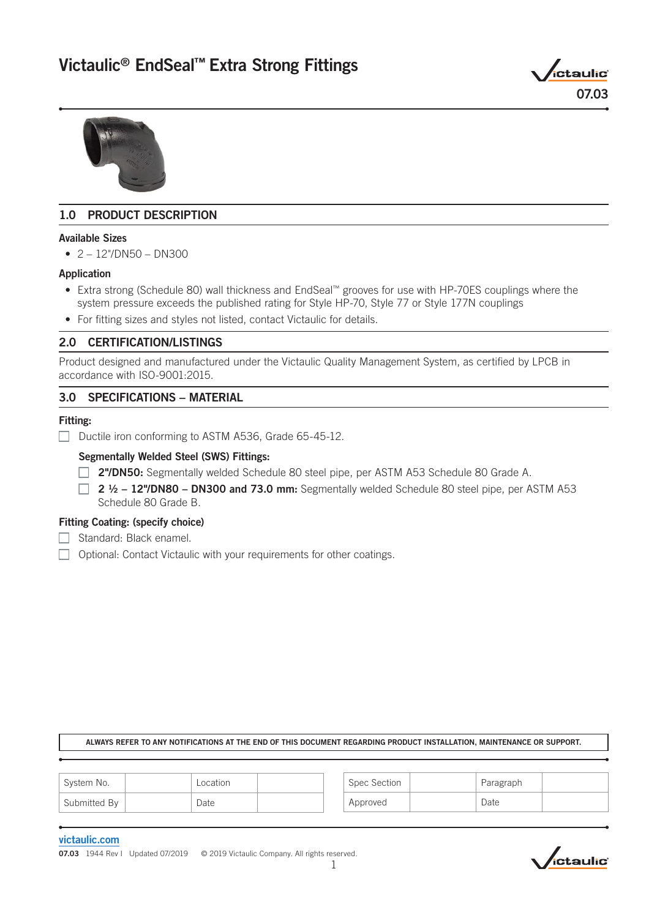# Victaulic® EndSeal™ Extra Strong Fittings





# 1.0 PRODUCT DESCRIPTION

### Available Sizes

 $\bullet$  2 – 12"/DN50 – DN300

# Application

- Extra strong (Schedule 80) wall thickness and EndSeal™ grooves for use with HP-70ES couplings where the system pressure exceeds the published rating for Style HP-70, Style 77 or Style 177N couplings
- For fitting sizes and styles not listed, contact Victaulic for details.

# 2.0 CERTIFICATION/LISTINGS

Product designed and manufactured under the Victaulic Quality Management System, as certified by LPCB in accordance with ISO-9001:2015.

# 3.0 SPECIFICATIONS – MATERIAL

### Fitting:

Ductile iron conforming to ASTM A536, Grade  $65-45-12$ .

# Segmentally Welded Steel (SWS) Fittings:

- **2"/DN50:** Segmentally welded Schedule 80 steel pipe, per ASTM A53 Schedule 80 Grade A.
- $\Box$  2  $\frac{1}{2}$  12"/DN80 DN300 and 73.0 mm: Segmentally welded Schedule 80 steel pipe, per ASTM A53 Schedule 80 Grade B.

### Fitting Coating: (specify choice)

- $\Box$  Standard: Black enamel.
- $\Box$  Optional: Contact Victaulic with your requirements for other coatings.

#### ALWAYS REFER TO ANY NOTIFICATIONS AT THE END OF THIS DOCUMENT REGARDING PRODUCT INSTALLATION, MAINTENANCE OR SUPPORT.

| <sup>1</sup> System No. | Location | Spec Section | Paragraph |  |
|-------------------------|----------|--------------|-----------|--|
| Submitted By            | Date     | Approved     | Date      |  |

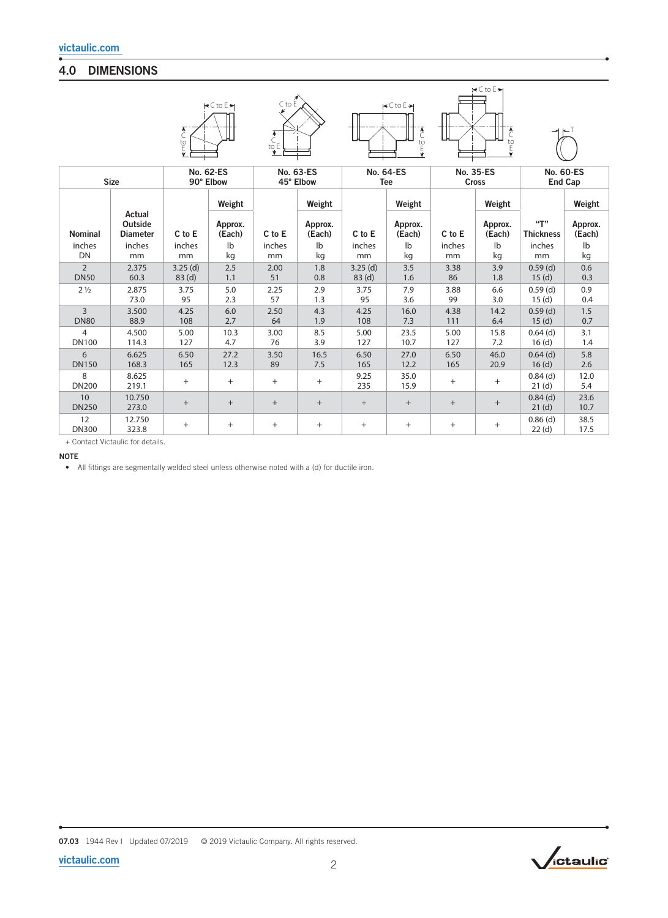# 4.0 DIMENSIONS

|                    |                                      | $\overline{C}$<br>$E_{E}^{0}$ | $\left \right. \leq C$ to E $\left. \right\rangle$ | $C$ to $E$<br>$\overline{C}$<br>to E |                   |                   | $\blacktriangleright$ C to E $\blacktriangleright$<br>$\overline{C}$<br>$\frac{1}{\sqrt{2}}$ |                  | $\prec$ C to E $\succ$<br>$\begin{array}{c}\n\bullet \\ \bullet \\ \bullet\n\end{array}$ |                         |                   |
|--------------------|--------------------------------------|-------------------------------|----------------------------------------------------|--------------------------------------|-------------------|-------------------|----------------------------------------------------------------------------------------------|------------------|------------------------------------------------------------------------------------------|-------------------------|-------------------|
| <b>Size</b>        |                                      | <b>No. 62-ES</b>              |                                                    | No. 63-ES                            |                   | <b>No. 64-ES</b>  |                                                                                              | <b>No. 35-ES</b> |                                                                                          | <b>No. 60-ES</b>        |                   |
|                    |                                      | 90° Elbow                     |                                                    | 45° Elbow                            |                   | <b>Tee</b>        |                                                                                              | <b>Cross</b>     |                                                                                          | <b>End Cap</b>          |                   |
|                    |                                      |                               | Weight                                             |                                      | Weight            |                   | Weight                                                                                       |                  | Weight                                                                                   |                         | Weight            |
| <b>Nominal</b>     | Actual<br>Outside<br><b>Diameter</b> | C to E                        | Approx.<br>(Each)                                  | C to E                               | Approx.<br>(Each) | C to E            | Approx.<br>(Each)                                                                            | C to E           | Approx.<br>(Each)                                                                        | "T"<br><b>Thickness</b> | Approx.<br>(Each) |
| inches             | inches                               | inches                        | Ib                                                 | inches                               | $\mathsf{lb}$     | inches            | $\mathsf{I}^{\mathsf{b}}$                                                                    | inches           | $\mathsf{lb}$                                                                            | inches                  | lb                |
| <b>DN</b>          | mm                                   | mm                            | kg                                                 | mm                                   | kg                | mm                | kg                                                                                           | mm               | kg                                                                                       | mm                      | kg                |
| $\overline{2}$     | 2.375                                | $3.25$ (d)                    | 2.5                                                | 2.00                                 | 1.8               | $3.25$ (d)        | 3.5                                                                                          | 3.38             | 3.9                                                                                      | $0.59$ (d)              | 0.6               |
| <b>DN50</b>        | 60.3                                 | 83 <sub>(d)</sub>             | 1.1                                                | 51                                   | 0.8               | 83 <sub>(d)</sub> | 1.6                                                                                          | 86               | 1.8                                                                                      | 15(d)                   | 0.3               |
| 2 <sub>1/2</sub>   | 2.875                                | 3.75                          | 5.0                                                | 2.25                                 | 2.9               | 3.75              | 7.9                                                                                          | 3.88             | 6.6                                                                                      | $0.59$ (d)              | 0.9               |
|                    | 73.0                                 | 95                            | 2.3                                                | 57                                   | 1.3               | 95                | 3.6                                                                                          | 99               | 3.0                                                                                      | 15(d)                   | 0.4               |
| $\overline{3}$     | 3.500                                | 4.25                          | 6.0                                                | 2.50                                 | 4.3               | 4.25              | 16.0                                                                                         | 4.38             | 14.2                                                                                     | $0.59$ (d)              | 1.5               |
| <b>DN80</b>        | 88.9                                 | 108                           | 2.7                                                | 64                                   | 1.9               | 108               | 7.3                                                                                          | 111              | 6.4                                                                                      | 15(d)                   | 0.7               |
| $\overline{4}$     | 4.500                                | 5.00                          | 10.3                                               | 3.00                                 | 8.5               | 5.00              | 23.5                                                                                         | 5.00             | 15.8                                                                                     | $0.64$ (d)              | 3.1               |
| <b>DN100</b>       | 114.3                                | 127                           | 4.7                                                | 76                                   | 3.9               | 127               | 10.7                                                                                         | 127              | 7.2                                                                                      | 16(d)                   | 1.4               |
| 6                  | 6.625                                | 6.50                          | 27.2                                               | 3.50                                 | 16.5              | 6.50              | 27.0                                                                                         | 6.50             | 46.0                                                                                     | $0.64$ (d)              | 5.8               |
| <b>DN150</b>       | 168.3                                | 165                           | 12.3                                               | 89                                   | 7.5               | 165               | 12.2                                                                                         | 165              | 20.9                                                                                     | 16(d)                   | 2.6               |
| 8<br><b>DN200</b>  | 8.625<br>219.1                       | $^{+}$                        | $^{+}$                                             | $+$                                  | $\ddot{}$         | 9.25<br>235       | 35.0<br>15.9                                                                                 | $^{+}$           | $^{+}$                                                                                   | $0.84$ (d)<br>21(d)     | 12.0<br>5.4       |
| 10<br><b>DN250</b> | 10.750<br>273.0                      | $+$                           | $+$                                                | $\! + \!\!\!\!$                      | $\! +$            | $+$               | $^{+}$                                                                                       | $^{+}$           | $\! +$                                                                                   | $0.84$ (d)<br>21(d)     | 23.6<br>10.7      |
| 12<br><b>DN300</b> | 12.750<br>323.8                      | $^{+}$                        | $+$                                                | $^{+}$                               | $^{+}$            | $^{+}$            | $^{+}$                                                                                       | $^{+}$           | $^{+}$                                                                                   | $0.86$ (d)<br>22(d)     | 38.5<br>17.5      |

+ Contact Victaulic for details.

NOTE

• All fittings are segmentally welded steel unless otherwise noted with a (d) for ductile iron.

07.03 1944 Rev I Updated 07/2019 © 2019 Victaulic Company. All rights reserved.